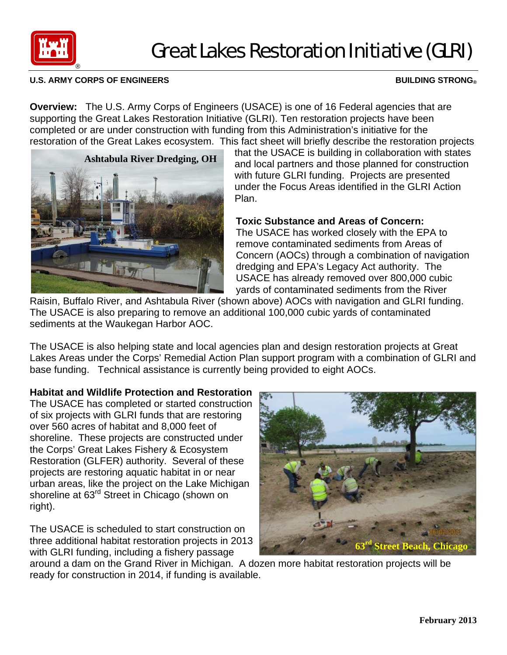

# Great Lakes Restoration Initiative (GLRI)

### **U.S. ARMY CORPS OF ENGINEERS BUILDING STRONG®**

**Overview:** The U.S. Army Corps of Engineers (USACE) is one of 16 Federal agencies that are supporting the Great Lakes Restoration Initiative (GLRI). Ten restoration projects have been completed or are under construction with funding from this Administration's initiative for the restoration of the Great Lakes ecosystem. This fact sheet will briefly describe the restoration projects

**Ashtabula River Dredging, OH** 

that the USACE is building in collaboration with states and local partners and those planned for construction with future GLRI funding. Projects are presented under the Focus Areas identified in the GLRI Action Plan.

## **Toxic Substance and Areas of Concern:**

The USACE has worked closely with the EPA to remove contaminated sediments from Areas of Concern (AOCs) through a combination of navigation dredging and EPA's Legacy Act authority. The USACE has already removed over 800,000 cubic yards of contaminated sediments from the River

Raisin, Buffalo River, and Ashtabula River (shown above) AOCs with navigation and GLRI funding. The USACE is also preparing to remove an additional 100,000 cubic yards of contaminated sediments at the Waukegan Harbor AOC.

The USACE is also helping state and local agencies plan and design restoration projects at Great Lakes Areas under the Corps' Remedial Action Plan support program with a combination of GLRI and base funding. Technical assistance is currently being provided to eight AOCs.

# **Habitat and Wildlife Protection and Restoration**

The USACE has completed or started construction of six projects with GLRI funds that are restoring over 560 acres of habitat and 8,000 feet of shoreline. These projects are constructed under the Corps' Great Lakes Fishery & Ecosystem Restoration (GLFER) authority. Several of these projects are restoring aquatic habitat in or near urban areas, like the project on the Lake Michigan shoreline at 63<sup>rd</sup> Street in Chicago (shown on right).

The USACE is scheduled to start construction on three additional habitat restoration projects in 2013 with GLRI funding, including a fishery passage



around a dam on the Grand River in Michigan. A dozen more habitat restoration projects will be ready for construction in 2014, if funding is available.